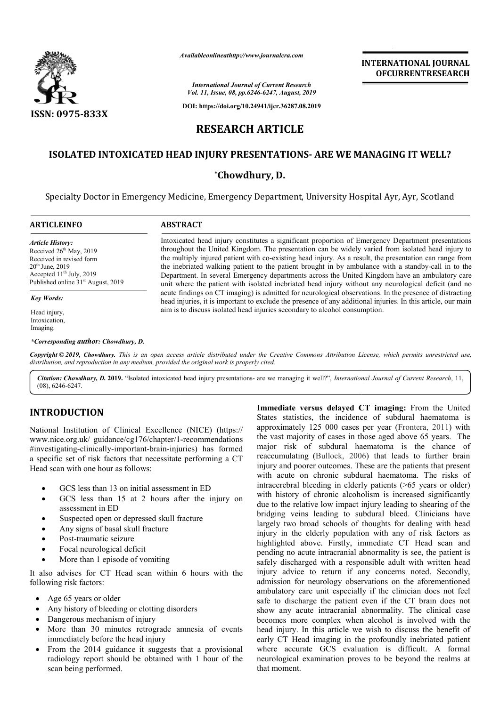

*Availableonlineathttp://www.journal Availableonlineathttp://www.journalcra.com*

**INTERNATIONAL JOURNAL OFCURRENTRESEARCH**

*International Journal of Current Research Vol. 11, Issue, 08, pp.6246-6247, August, 2019*

**DOI: https://doi.org/10.24941/ijcr.36287.08.2019**

# **RESEARCH ARTICLE**

## **ISOLATED INTOXICATED HEAD INJURY PRESENTATIONS- ARE WE MANAGING IT WELL?**

**\*Chowdhury, D.**

Specialty Doctor in Emergency Medicine, Emergency Department, University Hospital Ayr, Ayr, Scotland

| <b>ARTICLEINFO</b>                                                                                                                                                                                 | <b>ABSTRACT</b>                                                                                                                                                                                                                                                                                                                                                                                                                                                                                                                                                                                                                                                                                                                                                                                                                                                                                                                              |
|----------------------------------------------------------------------------------------------------------------------------------------------------------------------------------------------------|----------------------------------------------------------------------------------------------------------------------------------------------------------------------------------------------------------------------------------------------------------------------------------------------------------------------------------------------------------------------------------------------------------------------------------------------------------------------------------------------------------------------------------------------------------------------------------------------------------------------------------------------------------------------------------------------------------------------------------------------------------------------------------------------------------------------------------------------------------------------------------------------------------------------------------------------|
| <b>Article History:</b><br>Received 26 <sup>th</sup> May, 2019<br>Received in revised form<br>$20^{th}$ June, 2019<br>Accepted $11th$ July, 2019<br>Published online 31 <sup>st</sup> August, 2019 | Intoxicated head injury constitutes a significant proportion of Emergency Department presentations<br>throughout the United Kingdom. The presentation can be widely varied from isolated head injury to<br>the multiply injured patient with co-existing head injury. As a result, the presentation can range from<br>the inebriated walking patient to the patient brought in by ambulance with a standby-call in to the<br>Department. In several Emergency departments across the United Kingdom have an ambulatory care<br>unit where the patient with isolated inebriated head injury without any neurological deficit (and no<br>acute findings on CT imaging) is admitted for neurological observations. In the presence of distracting<br>head injuries, it is important to exclude the presence of any additional injuries. In this article, our main<br>aim is to discuss isolated head injuries secondary to alcohol consumption. |
| <b>Key Words:</b>                                                                                                                                                                                  |                                                                                                                                                                                                                                                                                                                                                                                                                                                                                                                                                                                                                                                                                                                                                                                                                                                                                                                                              |
| Head injury,<br>Intoxication,<br>Imaging.                                                                                                                                                          |                                                                                                                                                                                                                                                                                                                                                                                                                                                                                                                                                                                                                                                                                                                                                                                                                                                                                                                                              |
| *Corresponding author: Chowdhury, D.                                                                                                                                                               |                                                                                                                                                                                                                                                                                                                                                                                                                                                                                                                                                                                                                                                                                                                                                                                                                                                                                                                                              |

Copyright © 2019, Chowdhury. This is an open access article distributed under the Creative Commons Attribution License, which permits unrestricted use, *distribution, and reproduction in any medium, provided the original work is properly cited.*

Citation: Chowdhury, D. 2019. "Isolated intoxicated head injury presentations- are we managing it well?", *International Journal of Current Research*, 11, (08), 6246-6247.

# **INTRODUCTION**

National Institution of Clinical Excellence (NICE) (https:// www.nice.org.uk/ guidance/cg176/chapter/1-recommendations #investigating-clinically-important-brain-injuries injuries) has formed a specific set of risk factors that necessitate performing a CT Head scan with one hour as follows:

- GCS less than 13 on initial assessment in ED
- GCS less than 15 at 2 hours after the injury on assessment in ED
- Suspected open or depressed skull fracture
- Any signs of basal skull fracture
- Post-traumatic seizure
- Focal neurological deficit
- More than 1 episode of vomiting

It also advises for CT Head scan within 6 hours with the following risk factors:

- Age 65 years or older
- Any history of bleeding or clotting disorders
- Dangerous mechanism of injury
- More than 30 minutes retrograde amnesia of events immediately before the head injury
- From the 2014 guidance it suggests that a provisional radiology report should be obtained with 1 hour of the scan being performed.

**Immediate versus delayed CT imaging:** From the United States statistics, the incidence of subdural haematoma is approximately 125 000 cases per year (Frontera, 2011) with the vast majority of cases in those aged above 65 years. The major risk of subdural haematoma is the chance of reaccumulating (Bullock, 2006) that leads to further brain injury and poorer outcomes. These are the patients that present with acute on chronic subdural haematoma. The risks of intracerebral bleeding in elderly patients (>65 years or older) with history of chronic alcoholism is increased significantly due to the relative low impact injury leading to shearing of the bridging veins leading to subdural bleed. Clinicians have largely two broad schools of thoughts for dealing with head injury in the elderly population with any of risk factors as highlighted above. Firstly, immediate CT Head scan and pending no acute intracranial abnormality is see, the patient is safely discharged with a responsible adult with written head injury advice to return if any concerns noted. Secondly, admission for neurology observations on the aforementioned ambulatory care unit especially if the clinician does not feel safe to discharge the patient even if the CT brain does not show any acute intracranial abnormality. The clinical case becomes more complex when alcohol is involved with the head injury. In this article we wish to discuss the benefit of early CT Head imaging in the profoundly inebriated patient where accurate GCS evaluation is difficult. A formal neurological examination proves to be beyond the realms at that moment.